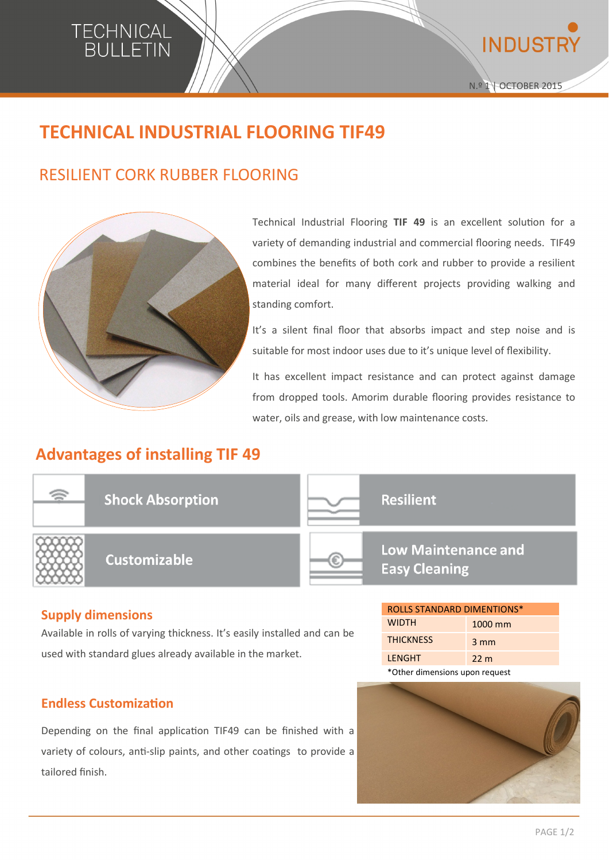

**INDUSTF** 

# **TECHNICAL INDUSTRIAL FLOORING TIF49**

## RESILIENT CORK RUBBER FLOORING



Technical Industrial Flooring **TIF 49** is an excellent solution for a variety of demanding industrial and commercial flooring needs. TIF49 combines the benefits of both cork and rubber to provide a resilient material ideal for many different projects providing walking and standing comfort.

It's a silent final floor that absorbs impact and step noise and is suitable for most indoor uses due to it's unique level of flexibility.

It has excellent impact resistance and can protect against damage from dropped tools. Amorim durable flooring provides resistance to water, oils and grease, with low maintenance costs.

## **Advantages of installing TIF 49**



#### **Supply dimensions**

Available in rolls of varying thickness. It's easily installed and can be used with standard glues already available in the market.

#### **Endless Customization**

Depending on the final application TIF49 can be finished with a variety of colours, anti-slip paints, and other coatings to provide a tailored finish.



WIDTH 1000 mm THICKNESS 3 mm LENGHT 22 m